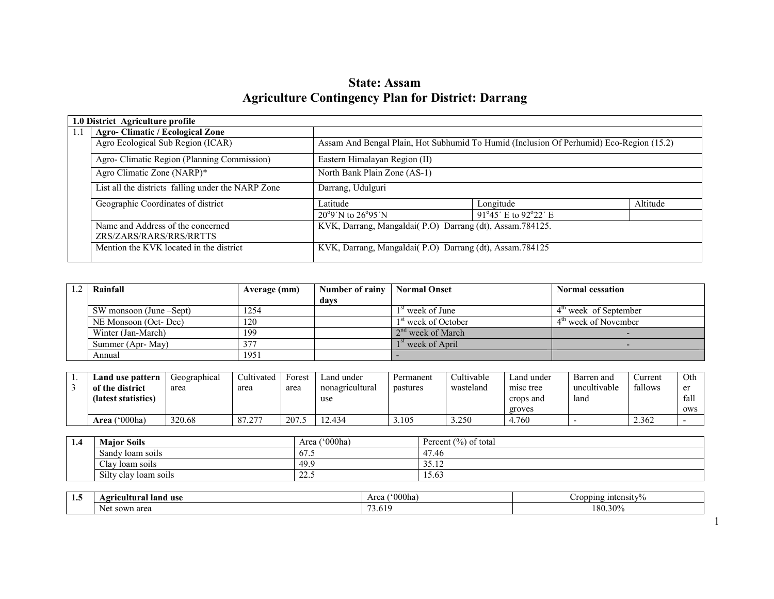# State: Assam Agriculture Contingency Plan for District: Darrang

|     | 1.0 District Agriculture profile                   |                                                           |                                                                                         |          |  |  |  |
|-----|----------------------------------------------------|-----------------------------------------------------------|-----------------------------------------------------------------------------------------|----------|--|--|--|
| 1.1 | <b>Agro-Climatic / Ecological Zone</b>             |                                                           |                                                                                         |          |  |  |  |
|     | Agro Ecological Sub Region (ICAR)                  |                                                           | Assam And Bengal Plain, Hot Subhumid To Humid (Inclusion Of Perhumid) Eco-Region (15.2) |          |  |  |  |
|     | Agro- Climatic Region (Planning Commission)        | Eastern Himalayan Region (II)                             |                                                                                         |          |  |  |  |
|     | Agro Climatic Zone (NARP)*                         | North Bank Plain Zone (AS-1)                              |                                                                                         |          |  |  |  |
|     | List all the districts falling under the NARP Zone | Darrang, Udulguri                                         |                                                                                         |          |  |  |  |
|     | Geographic Coordinates of district                 | Latitude                                                  | Longitude                                                                               | Altitude |  |  |  |
|     |                                                    | $20^{\circ}9'$ N to $26^{\circ}95'$ N                     | 91°45' E to 92°22' E                                                                    |          |  |  |  |
|     | Name and Address of the concerned                  | KVK, Darrang, Mangaldai(P.O) Darrang (dt), Assam. 784125. |                                                                                         |          |  |  |  |
|     | ZRS/ZARS/RARS/RRS/RRTTS                            |                                                           |                                                                                         |          |  |  |  |
|     | Mention the KVK located in the district            | KVK, Darrang, Mangaldai(P.O) Darrang (dt), Assam. 784125  |                                                                                         |          |  |  |  |

| Rainfall                | Average (mm) | Number of rainy | <b>Normal Onset</b>             | <b>Normal cessation</b> |
|-------------------------|--------------|-----------------|---------------------------------|-------------------------|
|                         |              | davs            |                                 |                         |
| SW monsoon (June –Sept) | 1254         |                 | 1 <sup>st</sup> week of June    | $4m$ week of September  |
| NE Monsoon (Oct-Dec)    | 120          |                 | 1 <sup>st</sup> week of October | $4th$ week of November  |
| Winter (Jan-March)      | 199          |                 | $2nd$ week of March             |                         |
| Summer (Apr-May)        | 377          |                 | 1 <sup>st</sup> week of April   |                         |
| Annual                  | 1951         |                 |                                 |                         |

| Land use pattern                       | Geographical | Cultivated                  | Forest | Land under             | Permanent | Cultivable | ∟and under                       | Barren and           | ∠urrent | Oth                            |
|----------------------------------------|--------------|-----------------------------|--------|------------------------|-----------|------------|----------------------------------|----------------------|---------|--------------------------------|
| of the district<br>(latest statistics) | area         | area                        | area   | nonagricultural<br>use | pastures  | wasteland  | misc tree<br>crops and<br>groves | uncultivable<br>land | fallows | $\alpha$ r<br>ັ<br>fall<br>ows |
| $^{\circ}000$ ha<br>Area '             | 320.68       | 277<br>$^{\circ}$<br>$\sim$ | 207    | 2.434                  | .105      | 3.250      | 4.760                            |                      | 2.362   |                                |

| 1.4 | <b>Major Soils</b>    | $^{\prime\prime}000$ ha)<br>Area | Percent $\frac{6}{6}$<br>of total |
|-----|-----------------------|----------------------------------|-----------------------------------|
|     | Sandy Joam soils      | <del>.</del><br>0/0.5            | $\overline{A}$<br>47.40           |
|     | Clav<br>loam soils    | 49.9                             | JJ.IL                             |
|     | Silty clay loam soils | ن مايم                           | 12.0.                             |

| 1. J | t land use<br>rıcultural<br>$\sim$ | $\alpha$<br>OOOha<br>Area               | $C$ ropping intensity $\%$ |  |  |
|------|------------------------------------|-----------------------------------------|----------------------------|--|--|
|      | ⁄n area<br>sowr<br>Ne:<br>$\sim$   | $\overline{\phantom{a}}$<br>611<br>5.01 | 300<br>180.309             |  |  |

1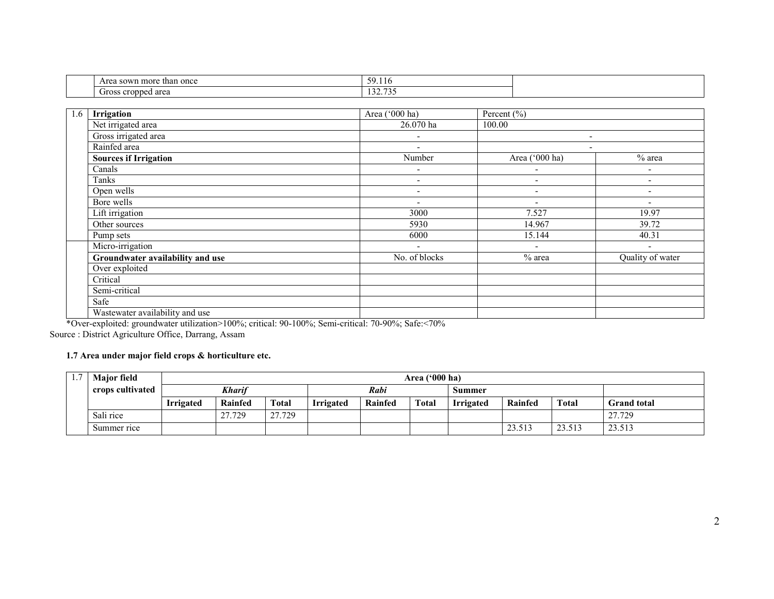| than once<br>Area sown more | . .<br>50<br>29.110 |
|-----------------------------|---------------------|
| -                           | 122.72              |
| Gross cropped area          | 1 <i>34.133</i>     |

| 1.6 | Irrigation                       | Area ('000 ha)           | Percent $(\% )$              |                          |
|-----|----------------------------------|--------------------------|------------------------------|--------------------------|
|     | Net irrigated area               | 26.070 ha                | 100.00                       |                          |
|     | Gross irrigated area             | $\overline{\phantom{0}}$ | $\qquad \qquad \blacksquare$ |                          |
|     | Rainfed area                     |                          | $\overline{\phantom{0}}$     |                          |
|     | <b>Sources if Irrigation</b>     | Number                   | Area ('000 ha)               | % area                   |
|     | Canals                           | $\overline{\phantom{a}}$ | $\overline{\phantom{a}}$     | $\blacksquare$           |
|     | Tanks                            | $\overline{\phantom{a}}$ | $\overline{\phantom{a}}$     | $\overline{\phantom{a}}$ |
|     | Open wells                       | $\overline{\phantom{0}}$ | $\overline{\phantom{a}}$     | $\overline{\phantom{a}}$ |
|     | Bore wells                       | $\overline{\phantom{a}}$ | $\overline{\phantom{0}}$     | $\overline{\phantom{a}}$ |
|     | Lift irrigation                  | 3000                     | 7.527                        | 19.97                    |
|     | Other sources                    | 5930                     | 14.967                       | 39.72                    |
|     | Pump sets                        | 6000                     | 15.144                       | 40.31                    |
|     | Micro-irrigation                 | $\overline{\phantom{a}}$ | $\overline{\phantom{a}}$     | $\blacksquare$           |
|     | Groundwater availability and use | No. of blocks            | $%$ area                     | Quality of water         |
|     | Over exploited                   |                          |                              |                          |
|     | Critical                         |                          |                              |                          |
|     | Semi-critical                    |                          |                              |                          |
|     | Safe                             |                          |                              |                          |
|     | Wastewater availability and use  |                          |                              |                          |

Wastewater availability and use \*Over-exploited: groundwater utilization>100%; critical: 90-100%; Semi-critical: 70-90%; Safe:<70% Source : District Agriculture Office, Darrang, Assam

#### 1.7 Area under major field crops & horticulture etc.

| . 7<br>1.1 | <b>Major field</b> |                                | Area $(900)$ ha) |              |                  |                |       |                  |         |              |                    |  |
|------------|--------------------|--------------------------------|------------------|--------------|------------------|----------------|-------|------------------|---------|--------------|--------------------|--|
|            | crops cultivated   |                                | Kharif           |              |                  | Rabi<br>Summer |       |                  |         |              |                    |  |
|            |                    | <i><u><b>Irrigated</b></u></i> | Rainfed          | <b>Total</b> | <b>Irrigated</b> | Rainfed        | Total | <b>Irrigated</b> | Rainfed | <b>Total</b> | <b>Grand total</b> |  |
|            | Sali rice          |                                | .729<br>າາ       | 27.729       |                  |                |       |                  |         |              | 27.729             |  |
|            | Summer rice        |                                |                  |              |                  |                |       |                  | 23.513  | 23.513       | 23.513             |  |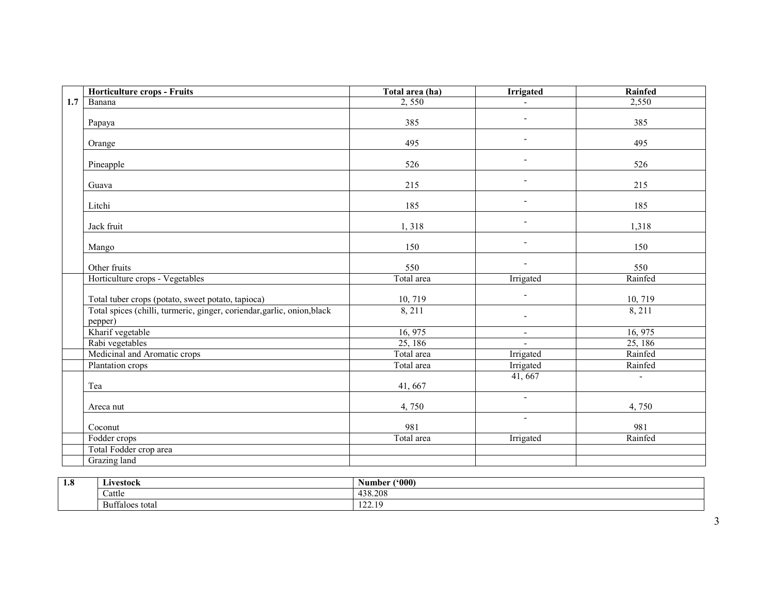| <b>Horticulture crops - Fruits</b>                                                 | Total area (ha) | Irrigated                | <b>Rainfed</b> |
|------------------------------------------------------------------------------------|-----------------|--------------------------|----------------|
| 1.7<br>Banana                                                                      | 2,550           |                          | 2,550          |
| Papaya                                                                             | 385             |                          | 385            |
| Orange                                                                             | 495             |                          | 495            |
| Pineapple                                                                          | 526             |                          | 526            |
| Guava                                                                              | 215             |                          | 215            |
| Litchi                                                                             | 185             |                          | 185            |
| Jack fruit                                                                         | 1,318           |                          | 1,318          |
| Mango                                                                              | 150             |                          | 150            |
| Other fruits                                                                       | 550             |                          | 550            |
| Horticulture crops - Vegetables                                                    | Total area      | Irrigated                | Rainfed        |
| Total tuber crops (potato, sweet potato, tapioca)                                  | 10, 719         |                          | 10, 719        |
| Total spices (chilli, turmeric, ginger, coriendar, garlic, onion, black<br>pepper) | 8, 211          |                          | 8, 211         |
| Kharif vegetable                                                                   | 16, 975         | $\overline{\phantom{a}}$ | 16, 975        |
| Rabi vegetables                                                                    | 25, 186         |                          | 25, 186        |
| Medicinal and Aromatic crops                                                       | Total area      | Irrigated                | Rainfed        |
| Plantation crops                                                                   | Total area      | Irrigated                | Rainfed        |
| Tea                                                                                | 41,667          | 41, 667                  | $\overline{a}$ |
| Areca nut                                                                          | 4,750           | $\blacksquare$           | 4,750          |
| Coconut                                                                            | 981             | $\blacksquare$           | 981            |
| Fodder crops                                                                       | Total area      | Irrigated                | Rainfed        |
| Total Fodder crop area                                                             |                 |                          |                |
| Grazing land                                                                       |                 |                          |                |

| 1.8 | $\mathbf{r}$<br>'stock<br>$\mathbf{u}$    | (000)<br>Aumber                                                 |
|-----|-------------------------------------------|-----------------------------------------------------------------|
|     | $\sim$<br>Cattle                          | 438.208                                                         |
|     | $\sqrt{ }$<br><b>Buttaloes</b><br>™ tota. | $\sim$<br>$\sim$<br>144.12<br>and the company of the company of |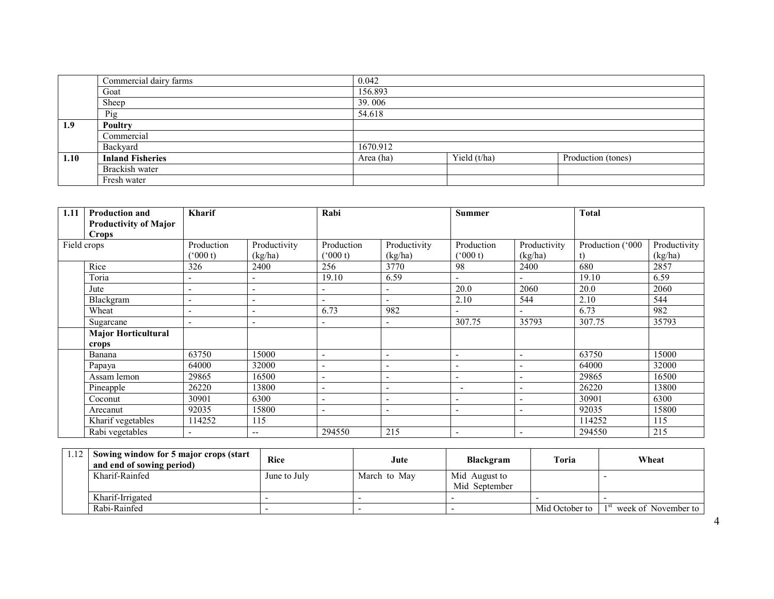|      | Commercial dairy farms  | 0.042     |              |                    |
|------|-------------------------|-----------|--------------|--------------------|
|      | Goat                    | 156.893   |              |                    |
|      | Sheep                   | 39.006    |              |                    |
|      | Pig                     | 54.618    |              |                    |
| 1.9  | Poultry                 |           |              |                    |
|      | Commercial              |           |              |                    |
|      | Backyard                | 1670.912  |              |                    |
| 1.10 | <b>Inland Fisheries</b> | Area (ha) | Yield (t/ha) | Production (tones) |
|      | Brackish water          |           |              |                    |
|      | Fresh water             |           |              |                    |

| 1.11 | <b>Production and</b>        | Kharif                   |                          | Rabi                     |                          | <b>Summer</b>            |                          | <b>Total</b>     |              |
|------|------------------------------|--------------------------|--------------------------|--------------------------|--------------------------|--------------------------|--------------------------|------------------|--------------|
|      | <b>Productivity of Major</b> |                          |                          |                          |                          |                          |                          |                  |              |
|      | Crops                        |                          |                          |                          |                          |                          |                          |                  |              |
|      | Field crops                  | Production               | Productivity             | Production               | Productivity             | Production               | Productivity             | Production ('000 | Productivity |
|      |                              | (000 t)                  | (kg/ha)                  | (000 t)                  | (kg/ha)                  | $(^{6}000 t)$            | (kg/ha)                  |                  | (kg/ha)      |
|      | Rice                         | 326                      | 2400                     | 256                      | 3770                     | 98                       | 2400                     | 680              | 2857         |
|      | Toria                        | $\overline{\phantom{a}}$ | ٠                        | 19.10                    | 6.59                     | $\overline{\phantom{0}}$ |                          | 19.10            | 6.59         |
|      | Jute                         | $\overline{\phantom{0}}$ | $\overline{\phantom{a}}$ | ٠                        | $\overline{\phantom{a}}$ | 20.0                     | 2060                     | 20.0             | 2060         |
|      | Blackgram                    | $\overline{\phantom{a}}$ | $\overline{\phantom{0}}$ | ۰                        | $\overline{\phantom{a}}$ | 2.10                     | 544                      | 2.10             | 544          |
|      | Wheat                        |                          | ٠                        | 6.73                     | 982                      | $\overline{\phantom{a}}$ |                          | 6.73             | 982          |
|      | Sugarcane                    |                          | ٠                        | ۰                        | $\overline{\phantom{a}}$ | 307.75                   | 35793                    | 307.75           | 35793        |
|      | <b>Major Horticultural</b>   |                          |                          |                          |                          |                          |                          |                  |              |
|      | crops                        |                          |                          |                          |                          |                          |                          |                  |              |
|      | Banana                       | 63750                    | 15000                    | $\overline{\phantom{0}}$ | $\qquad \qquad -$        | $\overline{\phantom{a}}$ |                          | 63750            | 15000        |
|      | Papaya                       | 64000                    | 32000                    | ۰                        | ۰                        | $\overline{\phantom{a}}$ |                          | 64000            | 32000        |
|      | Assam lemon                  | 29865                    | 16500                    | ۰                        | $\overline{\phantom{a}}$ | $\overline{\phantom{a}}$ |                          | 29865            | 16500        |
|      | Pineapple                    | 26220                    | 13800                    | ۰                        | $\overline{\phantom{a}}$ | ٠                        |                          | 26220            | 13800        |
|      | Coconut                      | 30901                    | 6300                     | ٠                        | $\qquad \qquad -$        | $\overline{\phantom{0}}$ |                          | 30901            | 6300         |
|      | Arecanut                     | 92035                    | 15800                    | ۰                        | $\qquad \qquad -$        | $\overline{\phantom{a}}$ |                          | 92035            | 15800        |
|      | Kharif vegetables            | 114252                   | 115                      |                          |                          |                          |                          | 114252           | 115          |
|      | Rabi vegetables              |                          | $- -$                    | 294550                   | 215                      | $\overline{\phantom{0}}$ | $\overline{\phantom{a}}$ | 294550           | 215          |

| 12 | Sowing window for 5 major crops (start<br>and end of sowing period) | <b>Rice</b>  | Jute         | Blackgram                      | <b>Toria</b>   | Wheat               |
|----|---------------------------------------------------------------------|--------------|--------------|--------------------------------|----------------|---------------------|
|    | Kharif-Rainfed                                                      | June to July | March to May | Mid August to<br>Mid September |                |                     |
|    | Kharif-Irrigated                                                    |              |              |                                |                |                     |
|    | Rabi-Rainfed                                                        |              |              |                                | Mid October to | week of November to |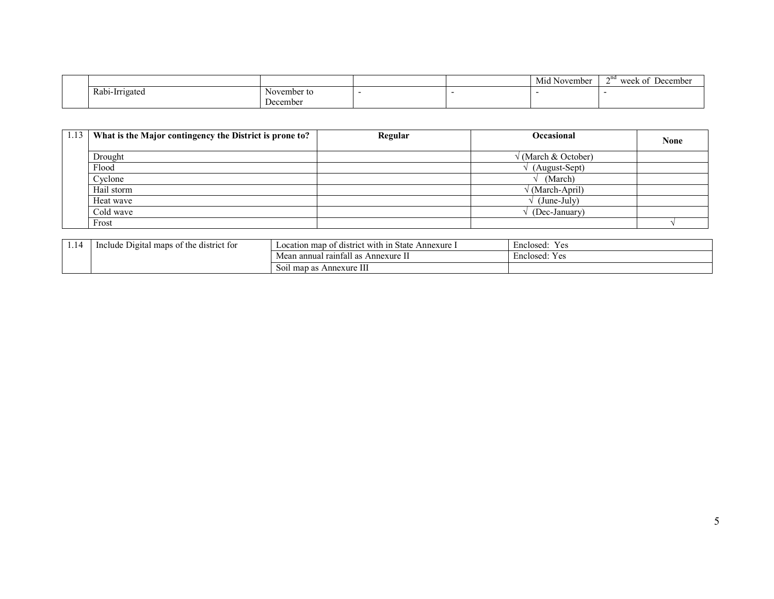|                |             |  | <b>Brith</b><br>November<br>M1d | $\gamma$ na<br>week of<br>December |
|----------------|-------------|--|---------------------------------|------------------------------------|
| Rabi-Irrigated | November to |  |                                 |                                    |
|                | ⊅ecember    |  |                                 |                                    |

| 1.13 What is the Major contingency the District is prone to? | Regular | <b>Occasional</b>   | <b>None</b> |
|--------------------------------------------------------------|---------|---------------------|-------------|
| Drought                                                      |         | √ (March & October) |             |
| Flood                                                        |         | (August-Sept)       |             |
| Cyclone                                                      |         | (March)             |             |
| Hail storm                                                   |         | / (March-April)     |             |
| Heat wave                                                    |         | $(June-Julv)$       |             |
| Cold wave                                                    |         | (Dec-January)       |             |
| Frost                                                        |         |                     |             |

| 1.14 | t the<br>Include.<br>: district for<br>Digital<br>maps of | t with in .<br>State<br>Annexure<br>map<br>≧ ∩† district<br>$\text{\textsterling}$ $\text{\textsterling}$ $\text{\textsterling}$ $\text{\textsterling}$ | $\overline{\phantom{0}}$<br>$ -$<br>Y es<br>Enclosed:       |
|------|-----------------------------------------------------------|---------------------------------------------------------------------------------------------------------------------------------------------------------|-------------------------------------------------------------|
|      |                                                           | 0.11<br>raintall as<br>Annexure L<br>Mean<br>ı annual                                                                                                   | $\blacksquare$<br>$\sim$ $\sim$<br>Enclosed:<br>v ac<br>ັບເ |
|      |                                                           | Annexure III<br>S01l<br>. map<br>ഹ<br>as                                                                                                                |                                                             |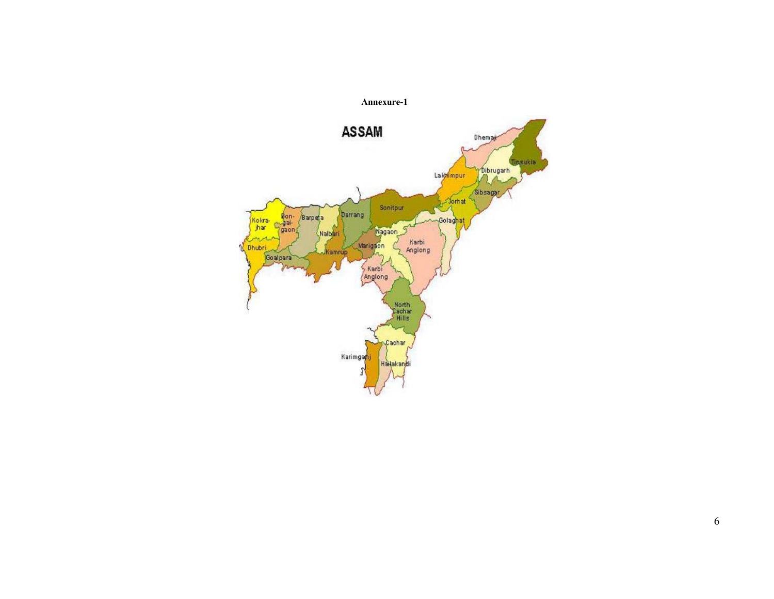

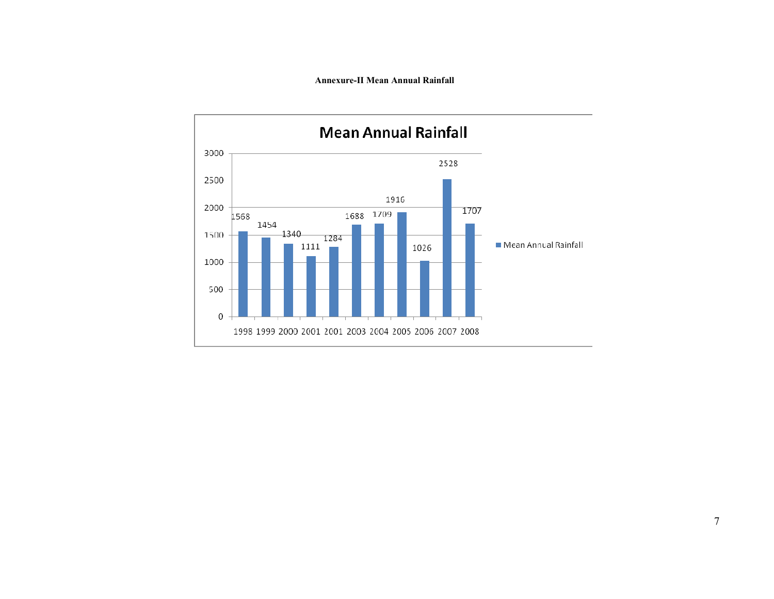#### Annexure-II Mean Annual Rainfall

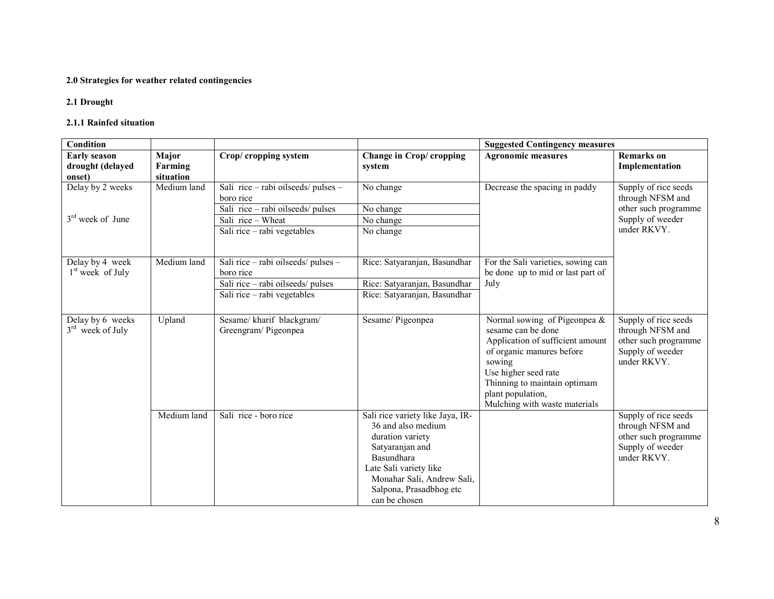## 2.0 Strategies for weather related contingencies

## 2.1 Drought

## 2.1.1 Rainfed situation

| Condition                                         |                               |                                                                                                                                           |                                                                                                                                                                                                                 | <b>Suggested Contingency measures</b>                                                                                                                                                                                                          |                                                                                                     |
|---------------------------------------------------|-------------------------------|-------------------------------------------------------------------------------------------------------------------------------------------|-----------------------------------------------------------------------------------------------------------------------------------------------------------------------------------------------------------------|------------------------------------------------------------------------------------------------------------------------------------------------------------------------------------------------------------------------------------------------|-----------------------------------------------------------------------------------------------------|
| <b>Early season</b><br>drought (delayed<br>onset) | Major<br>Farming<br>situation | Crop/cropping system                                                                                                                      | Change in Crop/ cropping<br>system                                                                                                                                                                              | <b>Agronomic measures</b>                                                                                                                                                                                                                      | <b>Remarks</b> on<br>Implementation                                                                 |
| Delay by 2 weeks<br>$3rd$ week of June            | Medium land                   | Sali rice - rabi oilseeds/ pulses -<br>boro rice<br>Sali rice - rabi oilseeds/ pulses<br>Sali rice - Wheat<br>Sali rice - rabi vegetables | No change<br>No change<br>No change<br>No change                                                                                                                                                                | Decrease the spacing in paddy                                                                                                                                                                                                                  | Supply of rice seeds<br>through NFSM and<br>other such programme<br>Supply of weeder<br>under RKVY. |
| Delay by 4 week<br>$1st$ week of July             | Medium land                   | Sali rice - rabi oilseeds/ pulses -<br>boro rice<br>Sali rice - rabi oilseeds/ pulses<br>Sali rice - rabi vegetables                      | Rice: Satyaranjan, Basundhar<br>Rice: Satyaranjan, Basundhar<br>Rice: Satyaranjan, Basundhar                                                                                                                    | For the Sali varieties, sowing can<br>be done up to mid or last part of<br>July                                                                                                                                                                |                                                                                                     |
| Delay by 6 weeks<br>$3rd$ week of July            | Upland                        | Sesame/kharif blackgram/<br>Greengram/Pigeonpea                                                                                           | Sesame/Pigeonpea                                                                                                                                                                                                | Normal sowing of Pigeonpea $\&$<br>sesame can be done<br>Application of sufficient amount<br>of organic manures before<br>sowing<br>Use higher seed rate<br>Thinning to maintain optimam<br>plant population,<br>Mulching with waste materials | Supply of rice seeds<br>through NFSM and<br>other such programme<br>Supply of weeder<br>under RKVY. |
|                                                   | Medium land                   | Sali rice - boro rice                                                                                                                     | Sali rice variety like Jaya, IR-<br>36 and also medium<br>duration variety<br>Satyaranjan and<br>Basundhara<br>Late Sali variety like<br>Monahar Sali, Andrew Sali,<br>Salpona, Prasadbhog etc<br>can be chosen |                                                                                                                                                                                                                                                | Supply of rice seeds<br>through NFSM and<br>other such programme<br>Supply of weeder<br>under RKVY. |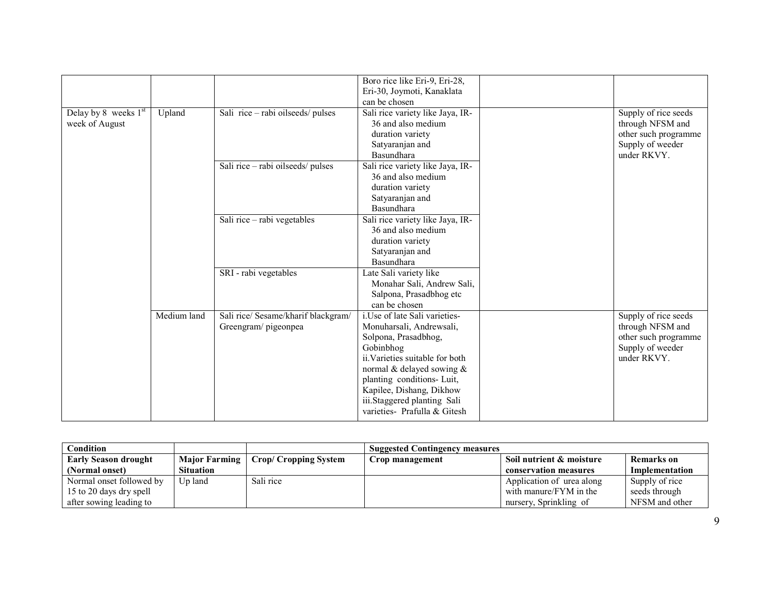|                      |             |                                     | Boro rice like Eri-9, Eri-28,<br>Eri-30, Joymoti, Kanaklata |                      |
|----------------------|-------------|-------------------------------------|-------------------------------------------------------------|----------------------|
|                      |             |                                     | can be chosen                                               |                      |
| Delay by 8 weeks 1st | Upland      | Sali rice - rabi oilseeds/ pulses   | Sali rice variety like Jaya, IR-                            | Supply of rice seeds |
| week of August       |             |                                     | 36 and also medium                                          | through NFSM and     |
|                      |             |                                     | duration variety                                            | other such programme |
|                      |             |                                     | Satyaranjan and                                             | Supply of weeder     |
|                      |             |                                     | Basundhara                                                  | under RKVY.          |
|                      |             | Sali rice - rabi oilseeds/ pulses   | Sali rice variety like Jaya, IR-                            |                      |
|                      |             |                                     | 36 and also medium                                          |                      |
|                      |             |                                     | duration variety                                            |                      |
|                      |             |                                     | Satyaranjan and                                             |                      |
|                      |             |                                     | Basundhara                                                  |                      |
|                      |             | Sali rice - rabi vegetables         | Sali rice variety like Jaya, IR-                            |                      |
|                      |             |                                     | 36 and also medium                                          |                      |
|                      |             |                                     | duration variety                                            |                      |
|                      |             |                                     | Satyaranjan and                                             |                      |
|                      |             |                                     | Basundhara                                                  |                      |
|                      |             | SRI - rabi vegetables               | Late Sali variety like                                      |                      |
|                      |             |                                     | Monahar Sali, Andrew Sali,                                  |                      |
|                      |             |                                     | Salpona, Prasadbhog etc                                     |                      |
|                      |             |                                     | can be chosen                                               |                      |
|                      | Medium land | Sali rice/ Sesame/kharif blackgram/ | i.Use of late Sali varieties-                               | Supply of rice seeds |
|                      |             | Greengram/pigeonpea                 | Monuharsali, Andrewsali,                                    | through NFSM and     |
|                      |             |                                     | Solpona, Prasadbhog,                                        | other such programme |
|                      |             |                                     | Gobinbhog                                                   | Supply of weeder     |
|                      |             |                                     | ii. Varieties suitable for both                             | under RKVY.          |
|                      |             |                                     | normal & delayed sowing &                                   |                      |
|                      |             |                                     | planting conditions- Luit,                                  |                      |
|                      |             |                                     | Kapilee, Dishang, Dikhow<br>iii.Staggered planting Sali     |                      |
|                      |             |                                     | varieties- Prafulla & Gitesh                                |                      |
|                      |             |                                     |                                                             |                      |

| Condition<br><b>Suggested Contingency measures</b> |                  |                             |                 |                           |                       |
|----------------------------------------------------|------------------|-----------------------------|-----------------|---------------------------|-----------------------|
| <b>Early Season drought</b>                        | Major Farming    | <b>Crop/Cropping System</b> | Crop management | Soil nutrient & moisture  | Remarks on            |
| (Normal onset)                                     | <b>Situation</b> |                             |                 | conservation measures     | <b>Implementation</b> |
| Normal onset followed by                           | Up land          | Sali rice                   |                 | Application of urea along | Supply of rice        |
| 15 to 20 days dry spell                            |                  |                             |                 | with manure/FYM in the    | seeds through         |
| after sowing leading to                            |                  |                             |                 | nursery, Sprinkling of    | NFSM and other        |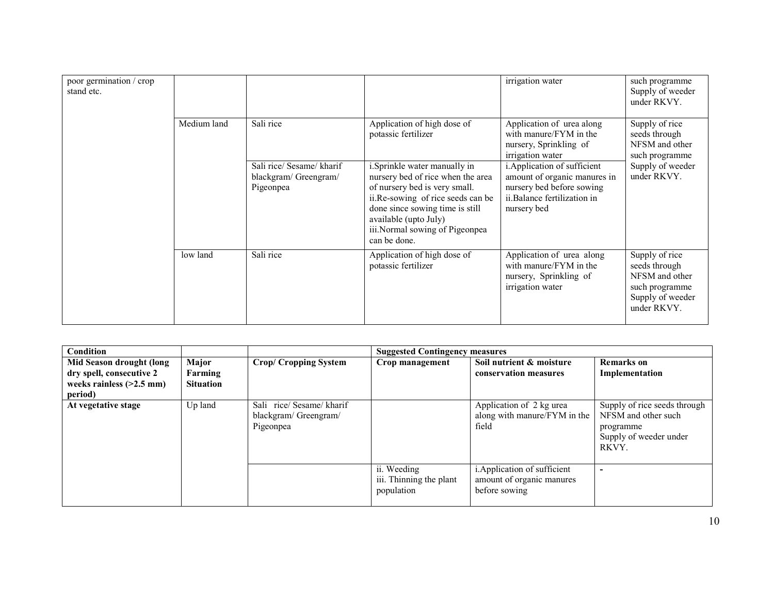| poor germination / crop<br>stand etc. |             |                                                                |                                                                                                                                                                                                                                                                | irrigation water                                                                                                                        | such programme<br>Supply of weeder<br>under RKVY.                                                      |
|---------------------------------------|-------------|----------------------------------------------------------------|----------------------------------------------------------------------------------------------------------------------------------------------------------------------------------------------------------------------------------------------------------------|-----------------------------------------------------------------------------------------------------------------------------------------|--------------------------------------------------------------------------------------------------------|
|                                       | Medium land | Sali rice                                                      | Application of high dose of<br>potassic fertilizer                                                                                                                                                                                                             | Application of urea along<br>with manure/FYM in the<br>nursery, Sprinkling of<br>irrigation water                                       | Supply of rice<br>seeds through<br>NFSM and other<br>such programme                                    |
|                                       |             | Sali rice/ Sesame/ kharif<br>blackgram/Greengram/<br>Pigeonpea | <i>i</i> . Sprinkle water manually in<br>nursery bed of rice when the area<br>of nursery bed is very small.<br>ii.Re-sowing of rice seeds can be<br>done since sowing time is still<br>available (upto July)<br>iii.Normal sowing of Pigeonpea<br>can be done. | i. Application of sufficient<br>amount of organic manures in<br>nursery bed before sowing<br>ii.Balance fertilization in<br>nursery bed | Supply of weeder<br>under RKVY.                                                                        |
|                                       | low land    | Sali rice                                                      | Application of high dose of<br>potassic fertilizer                                                                                                                                                                                                             | Application of urea along<br>with manure/FYM in the<br>nursery, Sprinkling of<br>irrigation water                                       | Supply of rice<br>seeds through<br>NFSM and other<br>such programme<br>Supply of weeder<br>under RKVY. |

| Condition                                                                                     |                                      |                                                               | <b>Suggested Contingency measures</b>                |                                                                            |                                                                                                     |
|-----------------------------------------------------------------------------------------------|--------------------------------------|---------------------------------------------------------------|------------------------------------------------------|----------------------------------------------------------------------------|-----------------------------------------------------------------------------------------------------|
| Mid Season drought (long<br>dry spell, consecutive 2<br>weeks rainless $(>2.5$ mm)<br>period) | Major<br>Farming<br><b>Situation</b> | <b>Crop/ Cropping System</b>                                  | Crop management                                      | Soil nutrient & moisture<br>conservation measures                          | <b>Remarks</b> on<br>Implementation                                                                 |
| At vegetative stage                                                                           | Up land                              | Sali rice/Sesame/kharif<br>blackgram/ Greengram/<br>Pigeonpea |                                                      | Application of 2 kg urea<br>along with manure/FYM in the<br>field          | Supply of rice seeds through<br>NFSM and other such<br>programme<br>Supply of weeder under<br>RKVY. |
|                                                                                               |                                      |                                                               | ii. Weeding<br>iii. Thinning the plant<br>population | i. Application of sufficient<br>amount of organic manures<br>before sowing |                                                                                                     |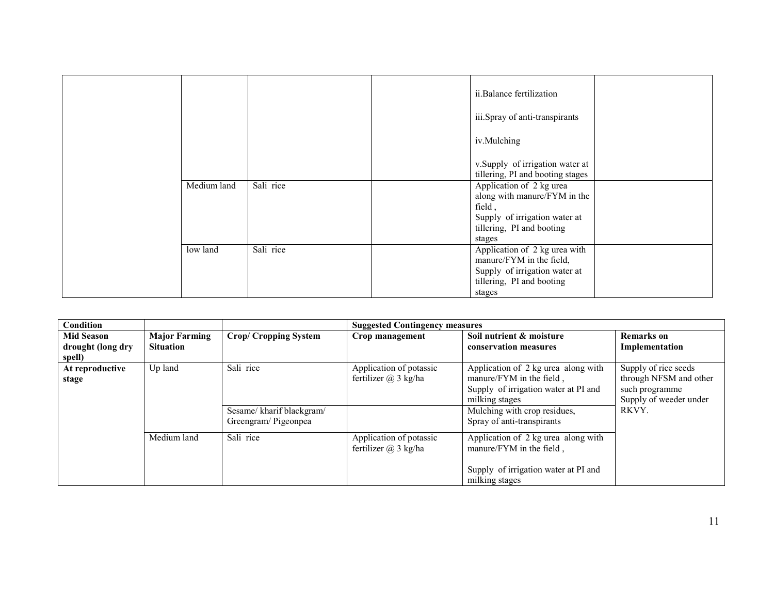|             |           | ii.Balance fertilization<br>iii.Spray of anti-transpirants<br>iv.Mulching                                                                  |  |
|-------------|-----------|--------------------------------------------------------------------------------------------------------------------------------------------|--|
|             |           | v.Supply of irrigation water at<br>tillering, PI and booting stages                                                                        |  |
| Medium land | Sali rice | Application of 2 kg urea<br>along with manure/FYM in the<br>field,<br>Supply of irrigation water at<br>tillering, PI and booting<br>stages |  |
| low land    | Sali rice | Application of 2 kg urea with<br>manure/FYM in the field,<br>Supply of irrigation water at<br>tillering, PI and booting<br>stages          |  |

| Condition                                        |                                          |                                                              | <b>Suggested Contingency measures</b>               |                                                                                                                                                                                         |                                                                                                     |
|--------------------------------------------------|------------------------------------------|--------------------------------------------------------------|-----------------------------------------------------|-----------------------------------------------------------------------------------------------------------------------------------------------------------------------------------------|-----------------------------------------------------------------------------------------------------|
| <b>Mid Season</b><br>drought (long dry<br>spell) | <b>Major Farming</b><br><b>Situation</b> | <b>Crop/ Cropping System</b>                                 | Crop management                                     | Soil nutrient & moisture<br>conservation measures                                                                                                                                       | <b>Remarks</b> on<br>Implementation                                                                 |
| At reproductive<br>stage                         | Up land                                  | Sali rice<br>Sesame/kharif blackgram/<br>Greengram/Pigeonpea | Application of potassic<br>fertilizer $(a)$ 3 kg/ha | Application of 2 kg urea along with<br>manure/FYM in the field,<br>Supply of irrigation water at PI and<br>milking stages<br>Mulching with crop residues,<br>Spray of anti-transpirants | Supply of rice seeds<br>through NFSM and other<br>such programme<br>Supply of weeder under<br>RKVY. |
|                                                  | Medium land                              | Sali rice                                                    | Application of potassic<br>fertilizer $(a)$ 3 kg/ha | Application of 2 kg urea along with<br>manure/FYM in the field,<br>Supply of irrigation water at PI and<br>milking stages                                                               |                                                                                                     |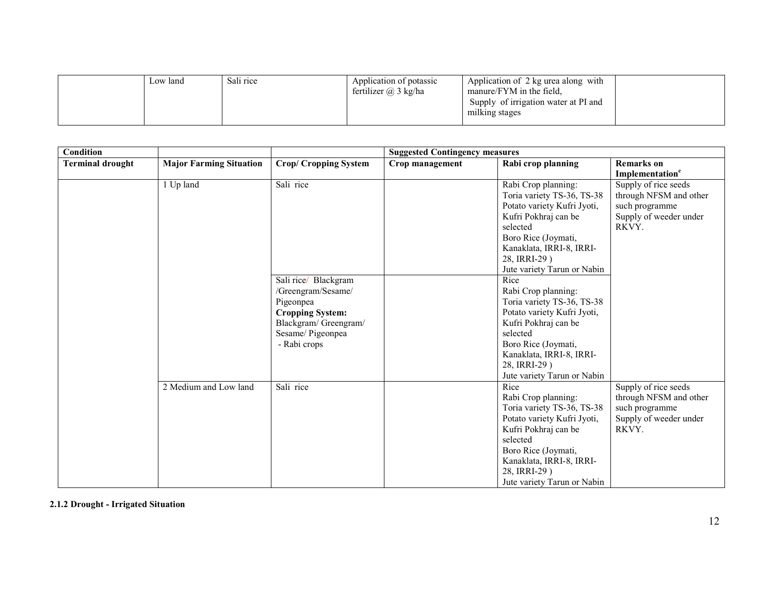| fertilizer $(a)$ 3 kg/ha<br>manure/FYM in the field.<br>Supply of irrigation water at PI and<br>milking stages | Low land | Sali rice | Application of potassic | Application of 2 kg urea along with |  |
|----------------------------------------------------------------------------------------------------------------|----------|-----------|-------------------------|-------------------------------------|--|
|----------------------------------------------------------------------------------------------------------------|----------|-----------|-------------------------|-------------------------------------|--|

| Condition               |                                |                             | <b>Suggested Contingency measures</b> |                             |                             |  |
|-------------------------|--------------------------------|-----------------------------|---------------------------------------|-----------------------------|-----------------------------|--|
| <b>Terminal drought</b> | <b>Major Farming Situation</b> | <b>Crop/Cropping System</b> | Crop management                       | Rabi crop planning          | <b>Remarks</b> on           |  |
|                         |                                |                             |                                       |                             | Implementation <sup>e</sup> |  |
|                         | 1 Up land                      | Sali rice                   |                                       | Rabi Crop planning:         | Supply of rice seeds        |  |
|                         |                                |                             |                                       | Toria variety TS-36, TS-38  | through NFSM and other      |  |
|                         |                                |                             |                                       | Potato variety Kufri Jyoti, | such programme              |  |
|                         |                                |                             |                                       | Kufri Pokhraj can be        | Supply of weeder under      |  |
|                         |                                |                             |                                       | selected                    | RKVY.                       |  |
|                         |                                |                             |                                       | Boro Rice (Joymati,         |                             |  |
|                         |                                |                             |                                       | Kanaklata, IRRI-8, IRRI-    |                             |  |
|                         |                                |                             |                                       | 28, IRRI-29)                |                             |  |
|                         |                                |                             |                                       | Jute variety Tarun or Nabin |                             |  |
|                         |                                | Sali rice/ Blackgram        |                                       | Rice                        |                             |  |
|                         |                                | /Greengram/Sesame/          |                                       | Rabi Crop planning:         |                             |  |
|                         |                                | Pigeonpea                   |                                       | Toria variety TS-36, TS-38  |                             |  |
|                         |                                | <b>Cropping System:</b>     |                                       | Potato variety Kufri Jyoti, |                             |  |
|                         |                                | Blackgram/ Greengram/       |                                       | Kufri Pokhraj can be        |                             |  |
|                         |                                | Sesame/Pigeonpea            |                                       | selected                    |                             |  |
|                         |                                | - Rabi crops                |                                       | Boro Rice (Joymati,         |                             |  |
|                         |                                |                             |                                       | Kanaklata, IRRI-8, IRRI-    |                             |  |
|                         |                                |                             |                                       | 28, IRRI-29)                |                             |  |
|                         |                                |                             |                                       | Jute variety Tarun or Nabin |                             |  |
|                         | 2 Medium and Low land          | Sali rice                   |                                       | Rice                        | Supply of rice seeds        |  |
|                         |                                |                             |                                       | Rabi Crop planning:         | through NFSM and other      |  |
|                         |                                |                             |                                       | Toria variety TS-36, TS-38  | such programme              |  |
|                         |                                |                             |                                       | Potato variety Kufri Jyoti, | Supply of weeder under      |  |
|                         |                                |                             |                                       | Kufri Pokhraj can be        | RKVY.                       |  |
|                         |                                |                             |                                       | selected                    |                             |  |
|                         |                                |                             |                                       | Boro Rice (Joymati,         |                             |  |
|                         |                                |                             |                                       | Kanaklata, IRRI-8, IRRI-    |                             |  |
|                         |                                |                             |                                       | 28, IRRI-29)                |                             |  |
|                         |                                |                             |                                       | Jute variety Tarun or Nabin |                             |  |

2.1.2 Drought - Irrigated Situation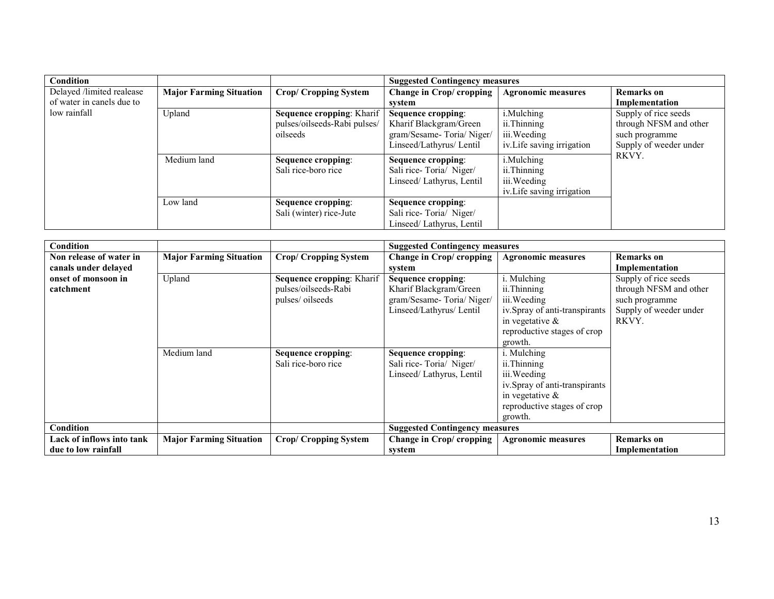| Condition                 |                                |                                  | <b>Suggested Contingency measures</b> |                            |                        |  |
|---------------------------|--------------------------------|----------------------------------|---------------------------------------|----------------------------|------------------------|--|
| Delayed /limited realease | <b>Major Farming Situation</b> | <b>Crop/ Cropping System</b>     | Change in Crop/ cropping              | <b>Agronomic measures</b>  | <b>Remarks</b> on      |  |
| of water in canels due to |                                |                                  | system                                |                            | Implementation         |  |
| low rainfall              | Upland                         | <b>Sequence cropping: Kharif</b> | Sequence cropping:                    | i.Mulching                 | Supply of rice seeds   |  |
|                           |                                | pulses/oilseeds-Rabi pulses/     | Kharif Blackgram/Green                | ii.Thinning                | through NFSM and other |  |
|                           |                                | oilseeds                         | gram/Sesame-Toria/Niger/              | iii. Weeding               | such programme         |  |
|                           |                                |                                  | Linseed/Lathyrus/ Lentil              | iv. Life saving irrigation | Supply of weeder under |  |
|                           | Medium land                    | Sequence cropping:               | Sequence cropping:                    | i.Mulching                 | RKVY.                  |  |
|                           |                                | Sali rice-boro rice              | Sali rice-Toria/ Niger/               | ii.Thinning                |                        |  |
|                           |                                |                                  | Linseed/Lathyrus, Lentil              | iii. Weeding               |                        |  |
|                           |                                |                                  |                                       | iv. Life saving irrigation |                        |  |
|                           | Low land                       | Sequence cropping:               | Sequence cropping:                    |                            |                        |  |
|                           |                                | Sali (winter) rice-Jute          | Sali rice-Toria/ Niger/               |                            |                        |  |
|                           |                                |                                  | Linseed/ Lathyrus, Lentil             |                            |                        |  |

| Condition                 |                                |                              |                                       | <b>Suggested Contingency measures</b> |                        |  |  |
|---------------------------|--------------------------------|------------------------------|---------------------------------------|---------------------------------------|------------------------|--|--|
| Non release of water in   | <b>Major Farming Situation</b> | <b>Crop/ Cropping System</b> | Change in Crop/ cropping              | <b>Agronomic measures</b>             | <b>Remarks</b> on      |  |  |
| canals under delayed      |                                |                              | system                                |                                       | Implementation         |  |  |
| onset of monsoon in       | Upland                         | Sequence cropping: Kharif    | Sequence cropping:                    | i. Mulching                           | Supply of rice seeds   |  |  |
| catchment                 |                                | pulses/oilseeds-Rabi         | Kharif Blackgram/Green                | ii. Thinning                          | through NFSM and other |  |  |
|                           |                                | pulses/oilseeds              | gram/Sesame-Toria/Niger/              | iii. Weeding                          | such programme         |  |  |
|                           |                                |                              | Linseed/Lathyrus/ Lentil              | iv.Spray of anti-transpirants         | Supply of weeder under |  |  |
|                           |                                |                              |                                       | in vegetative $\&$                    | RKVY.                  |  |  |
|                           |                                |                              |                                       | reproductive stages of crop           |                        |  |  |
|                           |                                |                              |                                       | growth.                               |                        |  |  |
|                           | Medium land                    | Sequence cropping:           | Sequence cropping:                    | i. Mulching                           |                        |  |  |
|                           |                                | Sali rice-boro rice          | Sali rice-Toria/ Niger/               | ii.Thinning                           |                        |  |  |
|                           |                                |                              | Linseed/ Lathyrus, Lentil             | iii. Weeding                          |                        |  |  |
|                           |                                |                              |                                       | iv. Spray of anti-transpirants        |                        |  |  |
|                           |                                |                              |                                       | in vegetative $\&$                    |                        |  |  |
|                           |                                |                              |                                       | reproductive stages of crop           |                        |  |  |
|                           |                                |                              |                                       | growth.                               |                        |  |  |
| Condition                 |                                |                              | <b>Suggested Contingency measures</b> |                                       |                        |  |  |
| Lack of inflows into tank | <b>Major Farming Situation</b> | <b>Crop/ Cropping System</b> | <b>Change in Crop/ cropping</b>       | <b>Agronomic measures</b>             | <b>Remarks</b> on      |  |  |
| due to low rainfall       |                                |                              | system                                |                                       | Implementation         |  |  |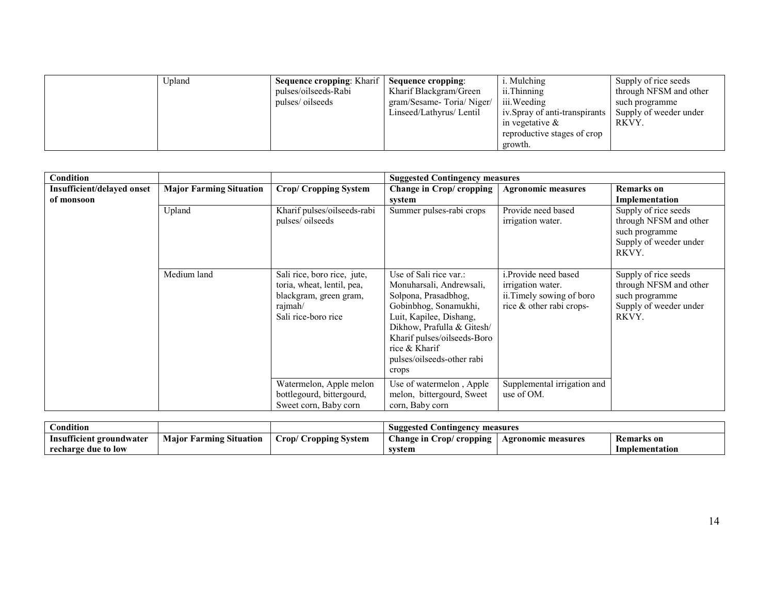| Jpland | <b>Sequence cropping: Kharif</b><br>pulses/oilseeds-Rabi<br>pulses/oilseeds | Sequence cropping:<br>Kharif Blackgram/Green<br>gram/Sesame-Toria/Niger/<br>Linseed/Lathyrus/ Lentil | i. Mulching<br>ii. Thinning<br>iii. Weeding<br>iv. Spray of anti-transpirants<br>in vegetative $\&$ | Supply of rice seeds<br>through NFSM and other<br>such programme<br>Supply of weeder under<br>RKVY. |
|--------|-----------------------------------------------------------------------------|------------------------------------------------------------------------------------------------------|-----------------------------------------------------------------------------------------------------|-----------------------------------------------------------------------------------------------------|
|        |                                                                             |                                                                                                      | reproductive stages of crop<br>growth.                                                              |                                                                                                     |

| Condition                                |                                |                                                                                                                       | <b>Suggested Contingency measures</b>                                                                                                                                                                                                               |                                                                                                           |                                                                                                     |
|------------------------------------------|--------------------------------|-----------------------------------------------------------------------------------------------------------------------|-----------------------------------------------------------------------------------------------------------------------------------------------------------------------------------------------------------------------------------------------------|-----------------------------------------------------------------------------------------------------------|-----------------------------------------------------------------------------------------------------|
| Insufficient/delayed onset<br>of monsoon | <b>Major Farming Situation</b> | <b>Crop/ Cropping System</b>                                                                                          | Change in Crop/ cropping<br>system                                                                                                                                                                                                                  | <b>Agronomic measures</b>                                                                                 | <b>Remarks</b> on<br>Implementation                                                                 |
|                                          | Upland                         | Kharif pulses/oilseeds-rabi<br>pulses/oilseeds                                                                        | Summer pulses-rabi crops                                                                                                                                                                                                                            | Provide need based<br>irrigation water.                                                                   | Supply of rice seeds<br>through NFSM and other<br>such programme<br>Supply of weeder under<br>RKVY. |
|                                          | Medium land                    | Sali rice, boro rice, jute,<br>toria, wheat, lentil, pea,<br>blackgram, green gram,<br>rajmah/<br>Sali rice-boro rice | Use of Sali rice var.:<br>Monuharsali, Andrewsali,<br>Solpona, Prasadbhog,<br>Gobinbhog, Sonamukhi,<br>Luit, Kapilee, Dishang,<br>Dikhow, Prafulla & Gitesh/<br>Kharif pulses/oilseeds-Boro<br>rice & Kharif<br>pulses/oilseeds-other rabi<br>crops | <i>i.Provide need based</i><br>irrigation water.<br>ii. Timely sowing of boro<br>rice & other rabi crops- | Supply of rice seeds<br>through NFSM and other<br>such programme<br>Supply of weeder under<br>RKVY. |
|                                          |                                | Watermelon, Apple melon<br>bottlegourd, bittergourd,<br>Sweet corn, Baby corn                                         | Use of watermelon, Apple<br>melon, bittergourd, Sweet<br>corn, Baby corn                                                                                                                                                                            | Supplemental irrigation and<br>use of OM.                                                                 |                                                                                                     |

| $\cdots$<br>tondition.         |                                              |                                   | ested<br>measures<br>Jontingency<br>Sugg           |                           |                   |
|--------------------------------|----------------------------------------------|-----------------------------------|----------------------------------------------------|---------------------------|-------------------|
| 00<br>Insufficient groundwater | $\sim \cdot$<br>armıng<br>Situation<br>Maior | ropping)<br>rop/<br><b>System</b> | <b>hange in</b><br>$\sim$ rop $\prime$<br>cropping | <b>Agronomic measures</b> | <b>Remarks</b> on |
| : due to low<br>recharge       |                                              |                                   | svstem                                             |                           | Implementation    |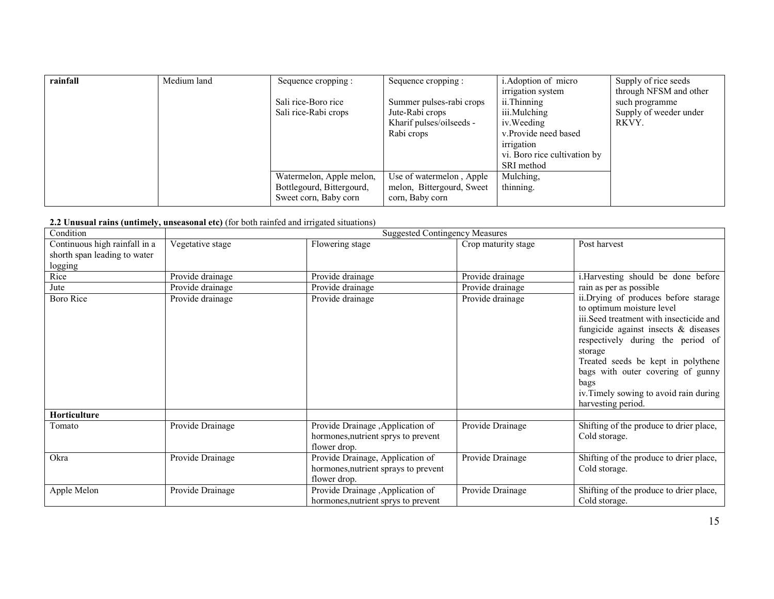| rainfall | Medium land | Sequence cropping :       | Sequence cropping :       | i. Adoption of micro         | Supply of rice seeds   |
|----------|-------------|---------------------------|---------------------------|------------------------------|------------------------|
|          |             |                           |                           | irrigation system            | through NFSM and other |
|          |             | Sali rice-Boro rice       | Summer pulses-rabi crops  | ii.Thinning                  | such programme         |
|          |             | Sali rice-Rabi crops      | Jute-Rabi crops           | iii.Mulching                 | Supply of weeder under |
|          |             |                           | Kharif pulses/oilseeds -  | iv. Weeding                  | RKVY.                  |
|          |             |                           | Rabi crops                | v.Provide need based         |                        |
|          |             |                           |                           | irrigation                   |                        |
|          |             |                           |                           | vi. Boro rice cultivation by |                        |
|          |             |                           |                           | SRI method                   |                        |
|          |             | Watermelon, Apple melon,  | Use of watermelon, Apple  | Mulching,                    |                        |
|          |             | Bottlegourd, Bittergourd, | melon, Bittergourd, Sweet | thinning.                    |                        |
|          |             | Sweet corn, Baby corn     | corn, Baby corn           |                              |                        |

#### 2.2 Unusual rains (untimely, unseasonal etc) (for both rainfed and irrigated situations)

| Condition                                                                | <b>Suggested Contingency Measures</b> |                                                                                          |                     |                                                                                                                                                                                                                                                                                                                                                             |  |
|--------------------------------------------------------------------------|---------------------------------------|------------------------------------------------------------------------------------------|---------------------|-------------------------------------------------------------------------------------------------------------------------------------------------------------------------------------------------------------------------------------------------------------------------------------------------------------------------------------------------------------|--|
| Continuous high rainfall in a<br>shorth span leading to water<br>logging | Vegetative stage                      | Flowering stage                                                                          | Crop maturity stage | Post harvest                                                                                                                                                                                                                                                                                                                                                |  |
| Rice                                                                     | Provide drainage                      | Provide drainage                                                                         | Provide drainage    | i. Harvesting should be done before                                                                                                                                                                                                                                                                                                                         |  |
| Jute                                                                     | Provide drainage                      | Provide drainage                                                                         | Provide drainage    | rain as per as possible                                                                                                                                                                                                                                                                                                                                     |  |
| <b>Boro Rice</b>                                                         | Provide drainage                      | Provide drainage                                                                         | Provide drainage    | ii.Drying of produces before starage<br>to optimum moisture level<br>iii. Seed treatment with insecticide and<br>fungicide against insects $\&$ diseases<br>respectively during the period of<br>storage<br>Treated seeds be kept in polythene<br>bags with outer covering of gunny<br>bags<br>iv. Timely sowing to avoid rain during<br>harvesting period. |  |
| Horticulture                                                             |                                       |                                                                                          |                     |                                                                                                                                                                                                                                                                                                                                                             |  |
| Tomato                                                                   | Provide Drainage                      | Provide Drainage , Application of<br>hormones, nutrient sprys to prevent<br>flower drop. | Provide Drainage    | Shifting of the produce to drier place,<br>Cold storage.                                                                                                                                                                                                                                                                                                    |  |
| Okra                                                                     | Provide Drainage                      | Provide Drainage, Application of<br>hormones, nutrient sprays to prevent<br>flower drop. | Provide Drainage    | Shifting of the produce to drier place,<br>Cold storage.                                                                                                                                                                                                                                                                                                    |  |
| Apple Melon                                                              | Provide Drainage                      | Provide Drainage , Application of<br>hormones, nutrient sprys to prevent                 | Provide Drainage    | Shifting of the produce to drier place,<br>Cold storage.                                                                                                                                                                                                                                                                                                    |  |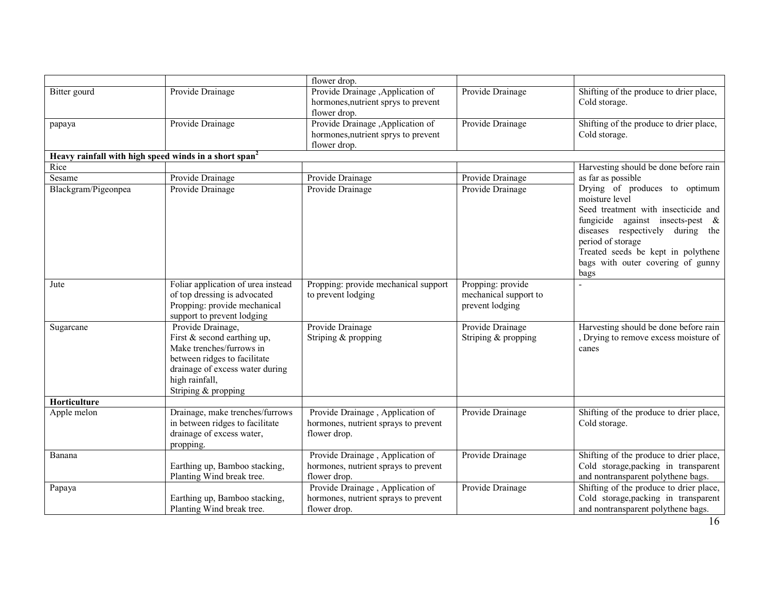|                                                                   |                                                                                                                                                                                            | flower drop.                                                                             |                                                               |                                                                                                                                                                                                                                                                           |
|-------------------------------------------------------------------|--------------------------------------------------------------------------------------------------------------------------------------------------------------------------------------------|------------------------------------------------------------------------------------------|---------------------------------------------------------------|---------------------------------------------------------------------------------------------------------------------------------------------------------------------------------------------------------------------------------------------------------------------------|
| Bitter gourd                                                      | Provide Drainage                                                                                                                                                                           | Provide Drainage , Application of<br>hormones, nutrient sprys to prevent<br>flower drop. | Provide Drainage                                              | Shifting of the produce to drier place,<br>Cold storage.                                                                                                                                                                                                                  |
| papaya                                                            | Provide Drainage                                                                                                                                                                           | Provide Drainage , Application of<br>hormones, nutrient sprys to prevent<br>flower drop. | Provide Drainage                                              | Shifting of the produce to drier place,<br>Cold storage.                                                                                                                                                                                                                  |
| Heavy rainfall with high speed winds in a short span <sup>2</sup> |                                                                                                                                                                                            |                                                                                          |                                                               |                                                                                                                                                                                                                                                                           |
| Rice                                                              |                                                                                                                                                                                            |                                                                                          |                                                               | Harvesting should be done before rain                                                                                                                                                                                                                                     |
| Sesame                                                            | Provide Drainage                                                                                                                                                                           | Provide Drainage                                                                         | Provide Drainage                                              | as far as possible                                                                                                                                                                                                                                                        |
| Blackgram/Pigeonpea                                               | Provide Drainage                                                                                                                                                                           | Provide Drainage                                                                         | Provide Drainage                                              | Drying of produces to optimum<br>moisture level<br>Seed treatment with insecticide and<br>fungicide against insects-pest $\&$<br>diseases respectively during the<br>period of storage<br>Treated seeds be kept in polythene<br>bags with outer covering of gunny<br>bags |
| Jute                                                              | Foliar application of urea instead<br>of top dressing is advocated<br>Propping: provide mechanical<br>support to prevent lodging                                                           | Propping: provide mechanical support<br>to prevent lodging                               | Propping: provide<br>mechanical support to<br>prevent lodging |                                                                                                                                                                                                                                                                           |
| Sugarcane                                                         | Provide Drainage,<br>First $&$ second earthing up,<br>Make trenches/furrows in<br>between ridges to facilitate<br>drainage of excess water during<br>high rainfall,<br>Striping & propping | Provide Drainage<br>Striping & propping                                                  | Provide Drainage<br>Striping & propping                       | Harvesting should be done before rain<br>Drying to remove excess moisture of<br>canes                                                                                                                                                                                     |
| Horticulture                                                      |                                                                                                                                                                                            |                                                                                          |                                                               |                                                                                                                                                                                                                                                                           |
| Apple melon                                                       | Drainage, make trenches/furrows<br>in between ridges to facilitate<br>drainage of excess water,<br>propping.                                                                               | Provide Drainage, Application of<br>hormones, nutrient sprays to prevent<br>flower drop. | Provide Drainage                                              | Shifting of the produce to drier place,<br>Cold storage.                                                                                                                                                                                                                  |
| Banana                                                            | Earthing up, Bamboo stacking,<br>Planting Wind break tree.                                                                                                                                 | Provide Drainage, Application of<br>hormones, nutrient sprays to prevent<br>flower drop. | Provide Drainage                                              | Shifting of the produce to drier place,<br>Cold storage, packing in transparent<br>and nontransparent polythene bags.                                                                                                                                                     |
| Papaya                                                            | Earthing up, Bamboo stacking,<br>Planting Wind break tree.                                                                                                                                 | Provide Drainage, Application of<br>hormones, nutrient sprays to prevent<br>flower drop. | Provide Drainage                                              | Shifting of the produce to drier place,<br>Cold storage, packing in transparent<br>and nontransparent polythene bags.                                                                                                                                                     |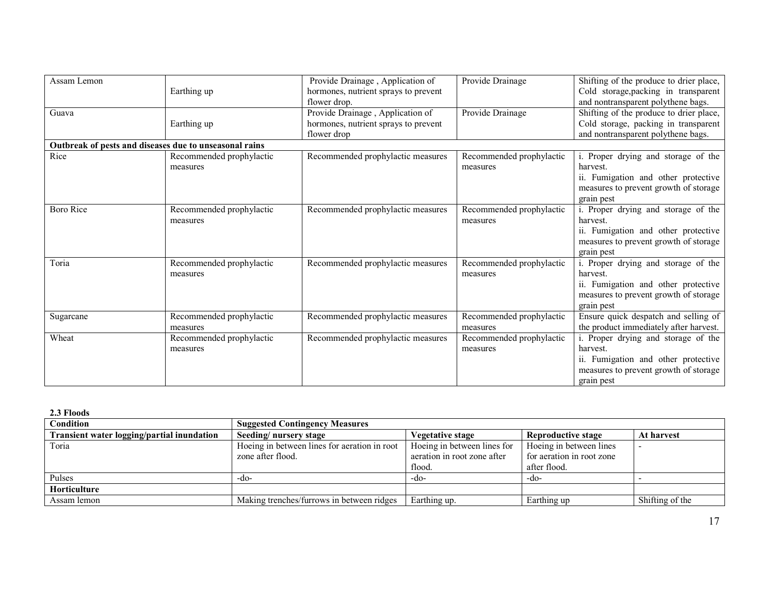| Assam Lemon                                            |                          | Provide Drainage, Application of     | Provide Drainage         | Shifting of the produce to drier place, |
|--------------------------------------------------------|--------------------------|--------------------------------------|--------------------------|-----------------------------------------|
|                                                        | Earthing up              | hormones, nutrient sprays to prevent |                          | Cold storage, packing in transparent    |
|                                                        |                          | flower drop.                         |                          | and nontransparent polythene bags.      |
| Guava                                                  |                          | Provide Drainage, Application of     | Provide Drainage         | Shifting of the produce to drier place, |
|                                                        | Earthing up              | hormones, nutrient sprays to prevent |                          | Cold storage, packing in transparent    |
|                                                        |                          | flower drop                          |                          | and nontransparent polythene bags.      |
| Outbreak of pests and diseases due to unseasonal rains |                          |                                      |                          |                                         |
| Rice                                                   | Recommended prophylactic | Recommended prophylactic measures    | Recommended prophylactic | i. Proper drying and storage of the     |
|                                                        | measures                 |                                      | measures                 | harvest.                                |
|                                                        |                          |                                      |                          | ii. Fumigation and other protective     |
|                                                        |                          |                                      |                          | measures to prevent growth of storage   |
|                                                        |                          |                                      |                          | grain pest                              |
| <b>Boro Rice</b>                                       | Recommended prophylactic | Recommended prophylactic measures    | Recommended prophylactic | i. Proper drying and storage of the     |
|                                                        | measures                 |                                      | measures                 | harvest.                                |
|                                                        |                          |                                      |                          | ii. Fumigation and other protective     |
|                                                        |                          |                                      |                          | measures to prevent growth of storage   |
|                                                        |                          |                                      |                          | grain pest                              |
| Toria                                                  | Recommended prophylactic | Recommended prophylactic measures    | Recommended prophylactic | i. Proper drying and storage of the     |
|                                                        | measures                 |                                      | measures                 | harvest.                                |
|                                                        |                          |                                      |                          | ii. Fumigation and other protective     |
|                                                        |                          |                                      |                          | measures to prevent growth of storage   |
|                                                        |                          |                                      |                          | grain pest                              |
| Sugarcane                                              | Recommended prophylactic | Recommended prophylactic measures    | Recommended prophylactic | Ensure quick despatch and selling of    |
|                                                        | measures                 |                                      | measures                 | the product immediately after harvest.  |
| Wheat                                                  | Recommended prophylactic | Recommended prophylactic measures    | Recommended prophylactic | i. Proper drying and storage of the     |
|                                                        | measures                 |                                      | measures                 | harvest.                                |
|                                                        |                          |                                      |                          | ii. Fumigation and other protective     |
|                                                        |                          |                                      |                          | measures to prevent growth of storage   |
|                                                        |                          |                                      |                          | grain pest                              |

2.3 Floods

| Condition                                         | <b>Suggested Contingency Measures</b>        |                             |                           |                 |  |  |
|---------------------------------------------------|----------------------------------------------|-----------------------------|---------------------------|-----------------|--|--|
| <b>Transient water logging/partial inundation</b> | Seeding/nursery stage                        | <b>Vegetative stage</b>     | <b>Reproductive stage</b> | At harvest      |  |  |
| Toria                                             | Hoeing in between lines for aeration in root | Hoeing in between lines for | Hoeing in between lines   |                 |  |  |
|                                                   | zone after flood.                            | aeration in root zone after | for aeration in root zone |                 |  |  |
|                                                   |                                              | flood.                      | after flood.              |                 |  |  |
| Pulses                                            | -do-                                         | $-dO$                       | $-dO$                     |                 |  |  |
| <b>Horticulture</b>                               |                                              |                             |                           |                 |  |  |
| Assam lemon                                       | Making trenches/furrows in between ridges    | Earthing up.                | Earthing up               | Shifting of the |  |  |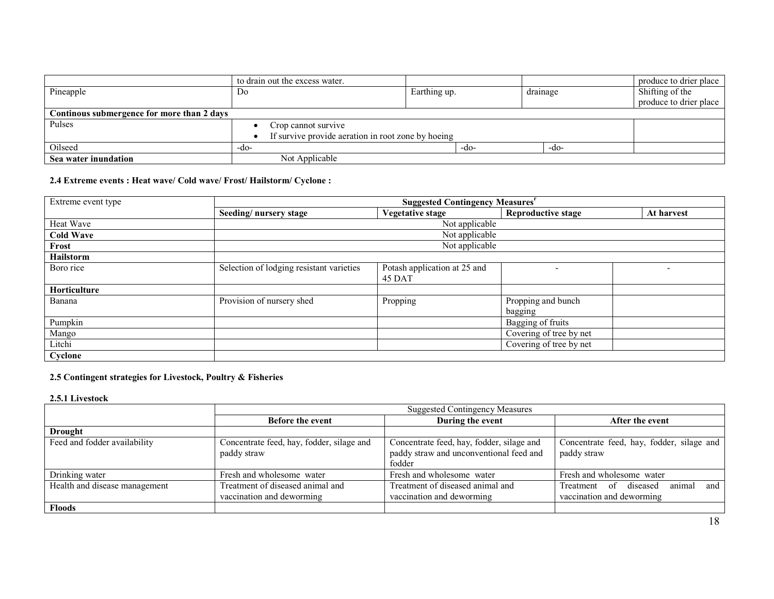|                                            | to drain out the excess water.                     |              |          | produce to drier place |  |
|--------------------------------------------|----------------------------------------------------|--------------|----------|------------------------|--|
| Pineapple                                  | Do                                                 | Earthing up. | drainage | Shifting of the        |  |
|                                            |                                                    |              |          | produce to drier place |  |
| Continous submergence for more than 2 days |                                                    |              |          |                        |  |
| Pulses                                     | Crop cannot survive                                |              |          |                        |  |
|                                            | If survive provide aeration in root zone by hoeing |              |          |                        |  |
| Oilseed                                    | -do-                                               | -do-         | -do-     |                        |  |
| Sea water inundation                       | Not Applicable                                     |              |          |                        |  |

## 2.4 Extreme events : Heat wave/ Cold wave/ Frost/ Hailstorm/ Cyclone :

| Extreme event type | <b>Suggested Contingency Measures</b> <sup>r</sup> |                                        |                               |            |
|--------------------|----------------------------------------------------|----------------------------------------|-------------------------------|------------|
|                    | Seeding/nursery stage                              | <b>Vegetative stage</b>                | <b>Reproductive stage</b>     | At harvest |
| Heat Wave          | Not applicable                                     |                                        |                               |            |
| <b>Cold Wave</b>   | Not applicable                                     |                                        |                               |            |
| Frost              | Not applicable                                     |                                        |                               |            |
| Hailstorm          |                                                    |                                        |                               |            |
| Boro rice          | Selection of lodging resistant varieties           | Potash application at 25 and<br>45 DAT |                               |            |
| Horticulture       |                                                    |                                        |                               |            |
| Banana             | Provision of nursery shed                          | Propping                               | Propping and bunch<br>bagging |            |
| Pumpkin            |                                                    |                                        | Bagging of fruits             |            |
| Mango              |                                                    |                                        | Covering of tree by net       |            |
| Litchi             |                                                    |                                        | Covering of tree by net       |            |
| Cyclone            |                                                    |                                        |                               |            |

#### 2.5 Contingent strategies for Livestock, Poultry & Fisheries

2.5.1 Livestock

|                               | <b>Suggested Contingency Measures</b>                         |                                                                                                |                                                                     |
|-------------------------------|---------------------------------------------------------------|------------------------------------------------------------------------------------------------|---------------------------------------------------------------------|
|                               | <b>Before the event</b>                                       | During the event                                                                               | After the event                                                     |
| <b>Drought</b>                |                                                               |                                                                                                |                                                                     |
| Feed and fodder availability  | Concentrate feed, hay, fodder, silage and<br>paddy straw      | Concentrate feed, hay, fodder, silage and<br>paddy straw and unconventional feed and<br>fodder | Concentrate feed, hay, fodder, silage and<br>paddy straw            |
| Drinking water                | Fresh and wholesome water                                     | Fresh and wholesome water                                                                      | Fresh and wholesome water                                           |
| Health and disease management | Treatment of diseased animal and<br>vaccination and deworming | Treatment of diseased animal and<br>vaccination and deworming                                  | animal<br>Treatment of diseased<br>and<br>vaccination and deworming |
| <b>Floods</b>                 |                                                               |                                                                                                |                                                                     |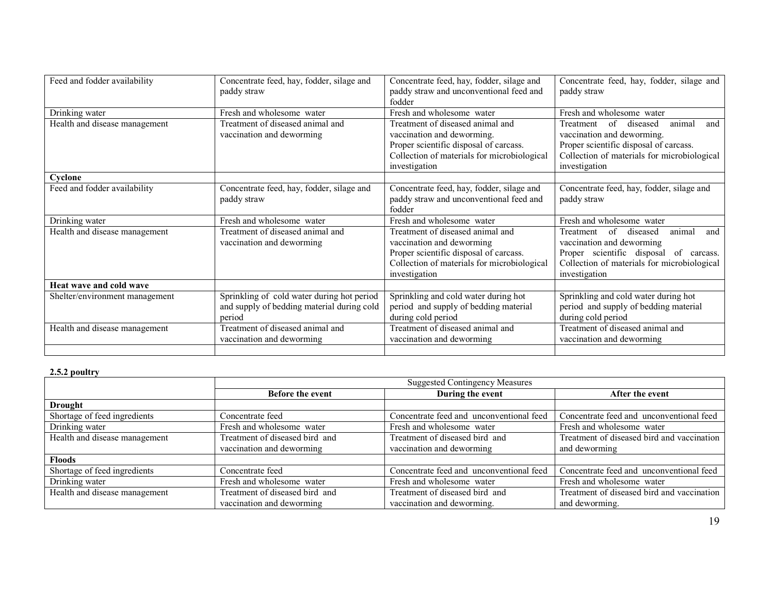| Feed and fodder availability   | Concentrate feed, hay, fodder, silage and<br>paddy straw                                           | Concentrate feed, hay, fodder, silage and<br>paddy straw and unconventional feed and<br>fodder                                                                           | Concentrate feed, hay, fodder, silage and<br>paddy straw                                                                                                                                   |
|--------------------------------|----------------------------------------------------------------------------------------------------|--------------------------------------------------------------------------------------------------------------------------------------------------------------------------|--------------------------------------------------------------------------------------------------------------------------------------------------------------------------------------------|
| Drinking water                 | Fresh and wholesome water                                                                          | Fresh and wholesome water                                                                                                                                                | Fresh and wholesome water                                                                                                                                                                  |
| Health and disease management  | Treatment of diseased animal and<br>vaccination and deworming                                      | Treatment of diseased animal and<br>vaccination and deworming.<br>Proper scientific disposal of carcass.<br>Collection of materials for microbiological<br>investigation | $\sigma$<br>diseased<br>animal<br>and<br>Treatment<br>vaccination and deworming.<br>Proper scientific disposal of carcass.<br>Collection of materials for microbiological<br>investigation |
| Cyclone                        |                                                                                                    |                                                                                                                                                                          |                                                                                                                                                                                            |
| Feed and fodder availability   | Concentrate feed, hay, fodder, silage and<br>paddy straw                                           | Concentrate feed, hay, fodder, silage and<br>paddy straw and unconventional feed and<br>fodder                                                                           | Concentrate feed, hay, fodder, silage and<br>paddy straw                                                                                                                                   |
| Drinking water                 | Fresh and wholesome water                                                                          | Fresh and wholesome water                                                                                                                                                | Fresh and wholesome water                                                                                                                                                                  |
| Health and disease management  | Treatment of diseased animal and<br>vaccination and deworming                                      | Treatment of diseased animal and<br>vaccination and deworming<br>Proper scientific disposal of carcass.<br>Collection of materials for microbiological<br>investigation  | animal<br>of diseased<br>Treatment<br>and<br>vaccination and deworming<br>Proper scientific disposal of carcass.<br>Collection of materials for microbiological<br>investigation           |
| Heat wave and cold wave        |                                                                                                    |                                                                                                                                                                          |                                                                                                                                                                                            |
| Shelter/environment management | Sprinkling of cold water during hot period<br>and supply of bedding material during cold<br>period | Sprinkling and cold water during hot<br>period and supply of bedding material<br>during cold period                                                                      | Sprinkling and cold water during hot<br>period and supply of bedding material<br>during cold period                                                                                        |
| Health and disease management  | Treatment of diseased animal and<br>vaccination and deworming                                      | Treatment of diseased animal and<br>vaccination and deworming                                                                                                            | Treatment of diseased animal and<br>vaccination and deworming                                                                                                                              |
|                                |                                                                                                    |                                                                                                                                                                          |                                                                                                                                                                                            |

# 2.5.2 poultry

|                               | <b>Suggested Contingency Measures</b> |                                          |                                            |
|-------------------------------|---------------------------------------|------------------------------------------|--------------------------------------------|
|                               | <b>Before the event</b>               | During the event                         | After the event                            |
| <b>Drought</b>                |                                       |                                          |                                            |
| Shortage of feed ingredients  | Concentrate feed                      | Concentrate feed and unconventional feed | Concentrate feed and unconventional feed   |
| Drinking water                | Fresh and wholesome water             | Fresh and wholesome water                | Fresh and wholesome water                  |
| Health and disease management | Treatment of diseased bird and        | Treatment of diseased bird and           | Treatment of diseased bird and vaccination |
|                               | vaccination and deworming             | vaccination and deworming                | and deworming                              |
| <b>Floods</b>                 |                                       |                                          |                                            |
| Shortage of feed ingredients  | Concentrate feed                      | Concentrate feed and unconventional feed | Concentrate feed and unconventional feed   |
| Drinking water                | Fresh and wholesome water             | Fresh and wholesome water                | Fresh and wholesome water                  |
| Health and disease management | Treatment of diseased bird and        | Treatment of diseased bird and           | Treatment of diseased bird and vaccination |
|                               | vaccination and deworming             | vaccination and deworming.               | and deworming.                             |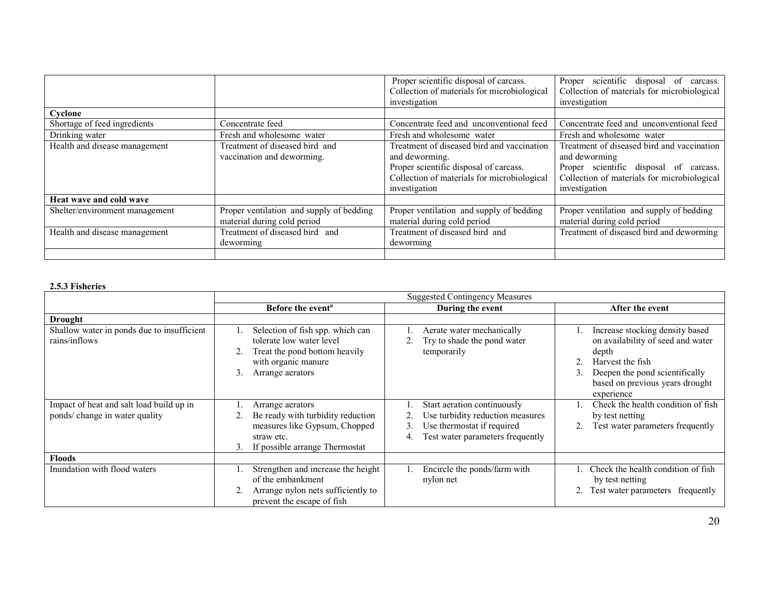|                                |                                          | Proper scientific disposal of carcass.<br>Collection of materials for microbiological | Proper scientific disposal of<br>carcass.<br>Collection of materials for microbiological |
|--------------------------------|------------------------------------------|---------------------------------------------------------------------------------------|------------------------------------------------------------------------------------------|
|                                |                                          | investigation                                                                         | investigation                                                                            |
| Cyclone                        |                                          |                                                                                       |                                                                                          |
| Shortage of feed ingredients   | Concentrate feed                         | Concentrate feed and unconventional feed                                              | Concentrate feed and unconventional feed                                                 |
| Drinking water                 | Fresh and wholesome water                | Fresh and wholesome water                                                             | Fresh and wholesome water                                                                |
| Health and disease management  | Treatment of diseased bird and           | Treatment of diseased bird and vaccination                                            | Treatment of diseased bird and vaccination                                               |
|                                | vaccination and deworming.               | and deworming.                                                                        | and deworming                                                                            |
|                                |                                          | Proper scientific disposal of carcass.                                                | Proper scientific disposal of carcass.                                                   |
|                                |                                          | Collection of materials for microbiological                                           | Collection of materials for microbiological                                              |
|                                |                                          | investigation                                                                         | investigation                                                                            |
| Heat wave and cold wave        |                                          |                                                                                       |                                                                                          |
| Shelter/environment management | Proper ventilation and supply of bedding | Proper ventilation and supply of bedding                                              | Proper ventilation and supply of bedding                                                 |
|                                | material during cold period              | material during cold period                                                           | material during cold period                                                              |
| Health and disease management  | Treatment of diseased bird and           | Treatment of diseased bird and                                                        | Treatment of diseased bird and deworming                                                 |
|                                | deworming                                | deworming                                                                             |                                                                                          |
|                                |                                          |                                                                                       |                                                                                          |

# 2.5.3 Fisheries

|                                                                            | <b>Suggested Contingency Measures</b>                                                                                                          |                                                                                                                                         |                                                                                                                                                                                      |
|----------------------------------------------------------------------------|------------------------------------------------------------------------------------------------------------------------------------------------|-----------------------------------------------------------------------------------------------------------------------------------------|--------------------------------------------------------------------------------------------------------------------------------------------------------------------------------------|
|                                                                            | Before the event <sup>a</sup>                                                                                                                  | During the event                                                                                                                        | After the event                                                                                                                                                                      |
| <b>Drought</b>                                                             |                                                                                                                                                |                                                                                                                                         |                                                                                                                                                                                      |
| Shallow water in ponds due to insufficient<br>rains/inflows                | Selection of fish spp. which can<br>tolerate low water level<br>Treat the pond bottom heavily<br>with organic manure<br>3.<br>Arrange aerators | Aerate water mechanically<br>Try to shade the pond water<br>temporarily                                                                 | Increase stocking density based<br>on availability of seed and water<br>depth<br>Harvest the fish<br>Deepen the pond scientifically<br>based on previous years drought<br>experience |
| Impact of heat and salt load build up in<br>ponds/ change in water quality | Arrange aerators<br>Be ready with turbidity reduction<br>measures like Gypsum, Chopped<br>straw etc.<br>If possible arrange Thermostat<br>3.   | Start aeration continuously<br>Use turbidity reduction measures<br>Use thermostat if required<br>3.<br>Test water parameters frequently | Check the health condition of fish<br>by test netting<br>Test water parameters frequently                                                                                            |
| <b>Floods</b>                                                              |                                                                                                                                                |                                                                                                                                         |                                                                                                                                                                                      |
| Inundation with flood waters                                               | Strengthen and increase the height<br>of the embankment<br>Arrange nylon nets sufficiently to<br>prevent the escape of fish                    | Encircle the ponds/farm with<br>nylon net                                                                                               | Check the health condition of fish<br>by test netting<br>2. Test water parameters frequently                                                                                         |